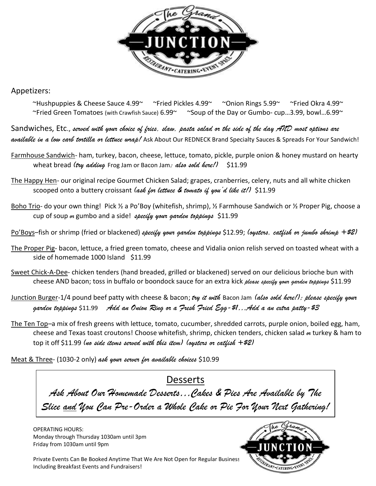

Appetizers:

 $\sim$ Hushpuppies & Cheese Sauce 4.99 $\sim$   $\sim$ Fried Pickles 4.99 $\sim$   $\sim$ Onion Rings 5.99 $\sim$   $\sim$   $\sim$ Fried Okra 4.99 $\sim$  $\sim$ Fried Green Tomatoes (with Crawfish Sauce) 6.99 $\sim$   $\sim$  Soup of the Day or Gumbo- cup...3.99, bowl...6.99 $\sim$ 

Sandwiches, Etc., *served with your choice of fries, slaw, pasta salad or the side of the day AND most options are available in a low carb tortilla or lettuce wrap!* Ask About Our REDNECK Brand Specialty Sauces & Spreads For Your Sandwich!

- Farmhouse Sandwich- ham, turkey, bacon, cheese, lettuce, tomato, pickle, purple onion & honey mustard on hearty wheat bread (try adding Frog Jam or Bacon Jam; also sold here!) \$11.99
- The Happy Hen- our original recipe Gourmet Chicken Salad; grapes, cranberries, celery, nuts and all white chicken scooped onto a buttery croissant *(ask for lettuce & tomato if you'd like it!)* \$11.99
- Boho Trio- do your own thing! Pick ½ a Po'Boy (whitefish, shrimp), ½ Farmhouse Sandwich or ½ Proper Pig, choose a cup of soup *or* gumbo and a side! *specify your garden toppings* \$11.99

Po'Boys–fish or shrimp (fried or blackened) *specify your garden toppings* \$12.99; *(oysters, catfish or jumbo shrimp +\$2)*

- The Proper Pig- bacon, lettuce, a fried green tomato, cheese and Vidalia onion relish served on toasted wheat with a side of homemade 1000 Island \$11.99
- Sweet Chick-A-Dee- chicken tenders (hand breaded, grilled or blackened) served on our delicious brioche bun with cheese AND bacon; toss in buffalo or boondock sauce for an extra kick *please specify your garden toppings* \$11.99
- Junction Burger-1/4 pound beef patty with cheese & bacon; *try it with* Bacon Jam *(also sold here!); please specify your garden toppings* \$11.99 *Add an Onion Ring or a Fresh Fried Egg-\$1…Add a an extra patty-\$3*
- The Ten Top-a mix of fresh greens with lettuce, tomato, cucumber, shredded carrots, purple onion, boiled egg, ham, cheese and Texas toast croutons! Choose whitefish, shrimp, chicken tenders, chicken salad *or* turkey & ham to top it off \$11.99 *(no side items served with this item) (oysters or catfish +\$2)*

Meat & Three- (1030-2 only) *ask your server for available choices* \$10.99

## Desserts

*Ask About Our Homemade Desserts…Cakes & Pies Are Available by The Slice and You Can Pre-Order a Whole Cake or Pie For Your Next Gathering!*

OPERATING HOURS: Monday through Thursday 1030am until 3pm Friday from 1030am until 9pm